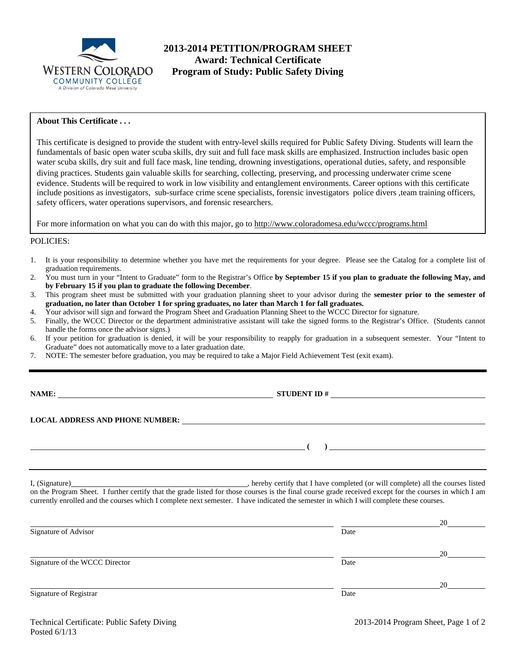

# **2013-2014 PETITION/PROGRAM SHEET Award: Technical Certificate**<br>WESTERN COLORADO Program of Study: Public Safety D **Program of Study: Public Safety Diving**

### **About This Certificate . . .**

This certificate is designed to provide the student with entry-level skills required for Public Safety Diving. Students will learn the fundamentals of basic open water scuba skills, dry suit and full face mask skills are emphasized. Instruction includes basic open water scuba skills, dry suit and full face mask, line tending, drowning investigations, operational duties, safety, and responsible diving practices. Students gain valuable skills for searching, collecting, preserving, and processing underwater crime scene evidence. Students will be required to work in low visibility and entanglement environments. Career options with this certificate include positions as investigators, sub-surface crime scene specialists, forensic investigators police divers ,team training officers, safety officers, water operations supervisors, and forensic researchers.

For more information on what you can do with this major, go to http://www.coloradomesa.edu/wccc/programs.html

#### POLICIES:

- 1. It is your responsibility to determine whether you have met the requirements for your degree. Please see the Catalog for a complete list of graduation requirements.
- 2. You must turn in your "Intent to Graduate" form to the Registrar's Office **by September 15 if you plan to graduate the following May, and by February 15 if you plan to graduate the following December**.
- 3. This program sheet must be submitted with your graduation planning sheet to your advisor during the **semester prior to the semester of graduation, no later than October 1 for spring graduates, no later than March 1 for fall graduates.**
- 4. Your advisor will sign and forward the Program Sheet and Graduation Planning Sheet to the WCCC Director for signature.
- 5. Finally, the WCCC Director or the department administrative assistant will take the signed forms to the Registrar's Office. (Students cannot handle the forms once the advisor signs.)
- 6. If your petition for graduation is denied, it will be your responsibility to reapply for graduation in a subsequent semester. Your "Intent to Graduate" does not automatically move to a later graduation date.
- 7. NOTE: The semester before graduation, you may be required to take a Major Field Achievement Test (exit exam).

**NAME:** STUDENT ID #

 **( )** 

#### **LOCAL ADDRESS AND PHONE NUMBER:**

I, (Signature) , hereby certify that I have completed (or will complete) all the courses listed on the Program Sheet. I further certify that the grade listed for those courses is the final course grade received except for the courses in which I am currently enrolled and the courses which I complete next semester. I have indicated the semester in which I will complete these courses.

| Signature of Advisor           | Date | 20 |
|--------------------------------|------|----|
|                                |      | 20 |
| Signature of the WCCC Director | Date |    |
|                                |      | 20 |
| Signature of Registrar         | Date |    |